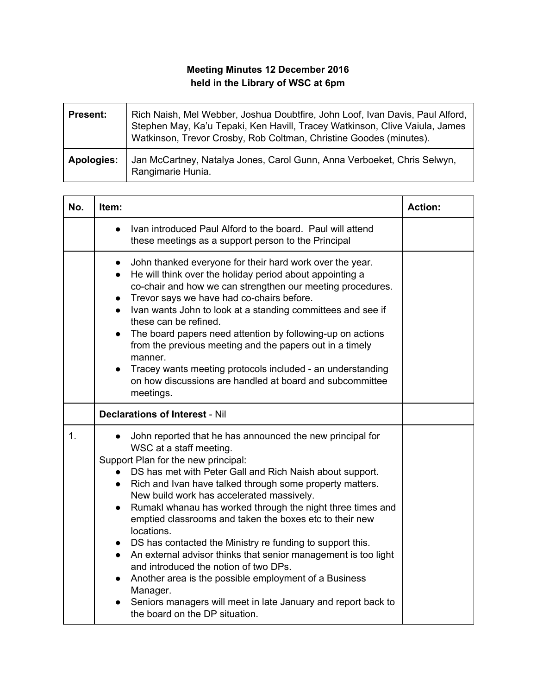## **Meeting Minutes 12 December 2016 held in the Library of WSC at 6pm**

| <b>Present:</b>   | Rich Naish, Mel Webber, Joshua Doubtfire, John Loof, Ivan Davis, Paul Alford,<br>Stephen May, Ka'u Tepaki, Ken Havill, Tracey Watkinson, Clive Vaiula, James<br>Watkinson, Trevor Crosby, Rob Coltman, Christine Goodes (minutes). |
|-------------------|------------------------------------------------------------------------------------------------------------------------------------------------------------------------------------------------------------------------------------|
| <b>Apologies:</b> | Jan McCartney, Natalya Jones, Carol Gunn, Anna Verboeket, Chris Selwyn,<br>Rangimarie Hunia.                                                                                                                                       |

| No.            | Item:                                                                                                                                                                                                                                                                                                                                                                                                                                                                                                                                                                                                                                                                                                                                                                                                                                  | <b>Action:</b> |
|----------------|----------------------------------------------------------------------------------------------------------------------------------------------------------------------------------------------------------------------------------------------------------------------------------------------------------------------------------------------------------------------------------------------------------------------------------------------------------------------------------------------------------------------------------------------------------------------------------------------------------------------------------------------------------------------------------------------------------------------------------------------------------------------------------------------------------------------------------------|----------------|
|                | Ivan introduced Paul Alford to the board. Paul will attend<br>$\bullet$<br>these meetings as a support person to the Principal                                                                                                                                                                                                                                                                                                                                                                                                                                                                                                                                                                                                                                                                                                         |                |
|                | John thanked everyone for their hard work over the year.<br>$\bullet$<br>He will think over the holiday period about appointing a<br>$\bullet$<br>co-chair and how we can strengthen our meeting procedures.<br>Trevor says we have had co-chairs before.<br>$\bullet$<br>Ivan wants John to look at a standing committees and see if<br>$\bullet$<br>these can be refined.<br>The board papers need attention by following-up on actions<br>$\bullet$<br>from the previous meeting and the papers out in a timely<br>manner.<br>Tracey wants meeting protocols included - an understanding<br>on how discussions are handled at board and subcommittee<br>meetings.                                                                                                                                                                   |                |
|                | <b>Declarations of Interest - Nil</b>                                                                                                                                                                                                                                                                                                                                                                                                                                                                                                                                                                                                                                                                                                                                                                                                  |                |
| $\mathbf{1}$ . | • John reported that he has announced the new principal for<br>WSC at a staff meeting.<br>Support Plan for the new principal:<br>• DS has met with Peter Gall and Rich Naish about support.<br>• Rich and Ivan have talked through some property matters.<br>New build work has accelerated massively.<br>Rumakl whanau has worked through the night three times and<br>$\bullet$<br>emptied classrooms and taken the boxes etc to their new<br>locations.<br>• DS has contacted the Ministry re funding to support this.<br>An external advisor thinks that senior management is too light<br>$\bullet$<br>and introduced the notion of two DPs.<br>Another area is the possible employment of a Business<br>Manager.<br>Seniors managers will meet in late January and report back to<br>$\bullet$<br>the board on the DP situation. |                |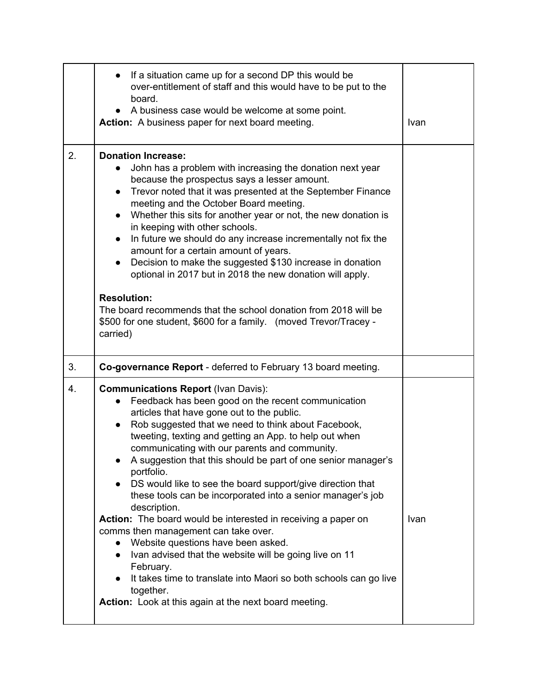|    | If a situation came up for a second DP this would be<br>over-entitlement of staff and this would have to be put to the<br>board.<br>A business case would be welcome at some point.<br>$\bullet$<br>Action: A business paper for next board meeting.                                                                                                                                                                                                                                                                                                                                                                                                                                                                                                                                                                                                                                                                                                                     | Ivan |
|----|--------------------------------------------------------------------------------------------------------------------------------------------------------------------------------------------------------------------------------------------------------------------------------------------------------------------------------------------------------------------------------------------------------------------------------------------------------------------------------------------------------------------------------------------------------------------------------------------------------------------------------------------------------------------------------------------------------------------------------------------------------------------------------------------------------------------------------------------------------------------------------------------------------------------------------------------------------------------------|------|
| 2. | <b>Donation Increase:</b><br>John has a problem with increasing the donation next year<br>$\bullet$<br>because the prospectus says a lesser amount.<br>Trevor noted that it was presented at the September Finance<br>$\bullet$<br>meeting and the October Board meeting.<br>Whether this sits for another year or not, the new donation is<br>$\bullet$<br>in keeping with other schools.<br>In future we should do any increase incrementally not fix the<br>$\bullet$<br>amount for a certain amount of years.<br>Decision to make the suggested \$130 increase in donation<br>$\bullet$<br>optional in 2017 but in 2018 the new donation will apply.<br><b>Resolution:</b><br>The board recommends that the school donation from 2018 will be<br>\$500 for one student, \$600 for a family. (moved Trevor/Tracey -                                                                                                                                                   |      |
| 3. | carried)<br>Co-governance Report - deferred to February 13 board meeting.                                                                                                                                                                                                                                                                                                                                                                                                                                                                                                                                                                                                                                                                                                                                                                                                                                                                                                |      |
| 4. | <b>Communications Report (Ivan Davis):</b><br>Feedback has been good on the recent communication<br>$\bullet$<br>articles that have gone out to the public.<br>Rob suggested that we need to think about Facebook,<br>$\bullet$<br>tweeting, texting and getting an App. to help out when<br>communicating with our parents and community.<br>A suggestion that this should be part of one senior manager's<br>portfolio.<br>DS would like to see the board support/give direction that<br>these tools can be incorporated into a senior manager's job<br>description.<br>Action: The board would be interested in receiving a paper on<br>comms then management can take over.<br>Website questions have been asked.<br>$\bullet$<br>Ivan advised that the website will be going live on 11<br>$\bullet$<br>February.<br>It takes time to translate into Maori so both schools can go live<br>together.<br><b>Action:</b> Look at this again at the next board meeting. | Ivan |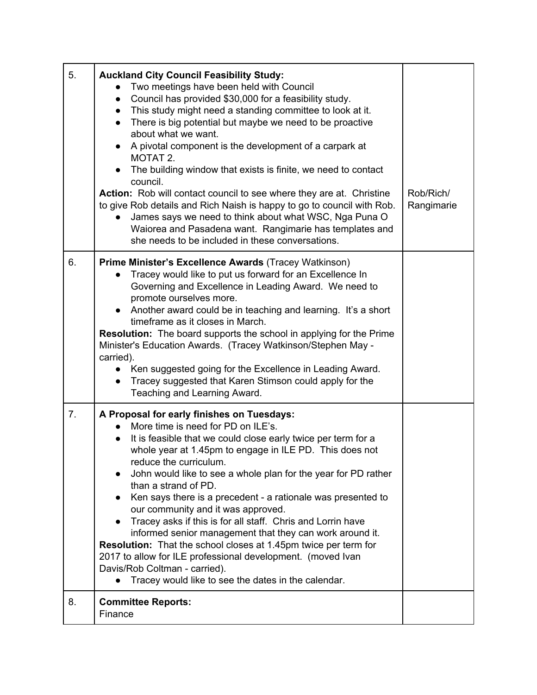| 5. | <b>Auckland City Council Feasibility Study:</b><br>Two meetings have been held with Council<br>Council has provided \$30,000 for a feasibility study.<br>$\bullet$<br>This study might need a standing committee to look at it.<br>$\bullet$<br>There is big potential but maybe we need to be proactive<br>about what we want.<br>A pivotal component is the development of a carpark at<br>MOTAT 2.<br>The building window that exists is finite, we need to contact<br>council.<br>Action: Rob will contact council to see where they are at. Christine<br>to give Rob details and Rich Naish is happy to go to council with Rob.<br>James says we need to think about what WSC, Nga Puna O<br>Waiorea and Pasadena want. Rangimarie has templates and<br>she needs to be included in these conversations. | Rob/Rich/<br>Rangimarie |
|----|---------------------------------------------------------------------------------------------------------------------------------------------------------------------------------------------------------------------------------------------------------------------------------------------------------------------------------------------------------------------------------------------------------------------------------------------------------------------------------------------------------------------------------------------------------------------------------------------------------------------------------------------------------------------------------------------------------------------------------------------------------------------------------------------------------------|-------------------------|
| 6. | Prime Minister's Excellence Awards (Tracey Watkinson)<br>Tracey would like to put us forward for an Excellence In<br>Governing and Excellence in Leading Award. We need to<br>promote ourselves more.<br>• Another award could be in teaching and learning. It's a short<br>timeframe as it closes in March.<br>Resolution: The board supports the school in applying for the Prime<br>Minister's Education Awards. (Tracey Watkinson/Stephen May -<br>carried).<br>Ken suggested going for the Excellence in Leading Award.<br>Tracey suggested that Karen Stimson could apply for the<br>$\bullet$<br>Teaching and Learning Award.                                                                                                                                                                          |                         |
| 7. | A Proposal for early finishes on Tuesdays:<br>More time is need for PD on ILE's.<br>It is feasible that we could close early twice per term for a<br>whole year at 1.45pm to engage in ILE PD. This does not<br>reduce the curriculum.<br>John would like to see a whole plan for the year for PD rather<br>than a strand of PD.<br>Ken says there is a precedent - a rationale was presented to<br>our community and it was approved.<br>Tracey asks if this is for all staff. Chris and Lorrin have<br>informed senior management that they can work around it.<br><b>Resolution:</b> That the school closes at 1.45pm twice per term for<br>2017 to allow for ILE professional development. (moved Ivan<br>Davis/Rob Coltman - carried).<br>Tracey would like to see the dates in the calendar.            |                         |
| 8. | <b>Committee Reports:</b><br>Finance                                                                                                                                                                                                                                                                                                                                                                                                                                                                                                                                                                                                                                                                                                                                                                          |                         |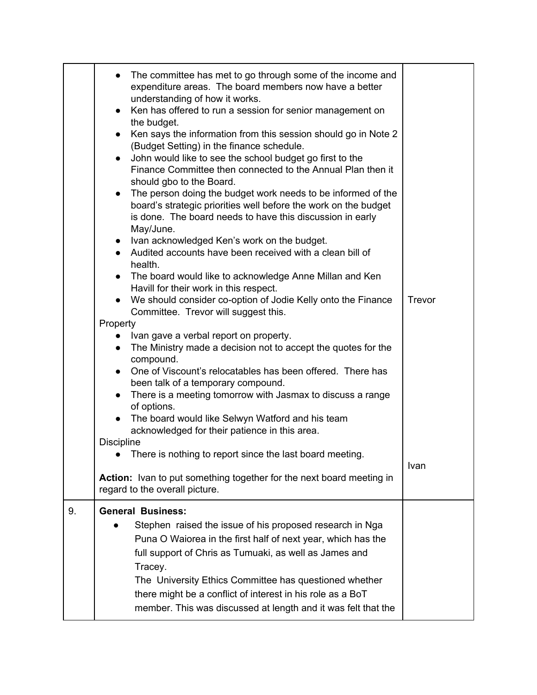|    | The committee has met to go through some of the income and<br>expenditure areas. The board members now have a better<br>understanding of how it works.<br>Ken has offered to run a session for senior management on<br>$\bullet$<br>the budget.<br>Ken says the information from this session should go in Note 2<br>$\bullet$<br>(Budget Setting) in the finance schedule.<br>John would like to see the school budget go first to the<br>Finance Committee then connected to the Annual Plan then it<br>should gbo to the Board.<br>The person doing the budget work needs to be informed of the<br>$\bullet$<br>board's strategic priorities well before the work on the budget<br>is done. The board needs to have this discussion in early<br>May/June.<br>Ivan acknowledged Ken's work on the budget.<br>$\bullet$<br>Audited accounts have been received with a clean bill of<br>health.<br>The board would like to acknowledge Anne Millan and Ken<br>Havill for their work in this respect.<br>We should consider co-option of Jodie Kelly onto the Finance<br>Committee. Trevor will suggest this.<br>Property<br>Ivan gave a verbal report on property.<br>• The Ministry made a decision not to accept the quotes for the<br>compound.<br>One of Viscount's relocatables has been offered. There has<br>been talk of a temporary compound.<br>There is a meeting tomorrow with Jasmax to discuss a range<br>of options. | Trevor |
|----|-------------------------------------------------------------------------------------------------------------------------------------------------------------------------------------------------------------------------------------------------------------------------------------------------------------------------------------------------------------------------------------------------------------------------------------------------------------------------------------------------------------------------------------------------------------------------------------------------------------------------------------------------------------------------------------------------------------------------------------------------------------------------------------------------------------------------------------------------------------------------------------------------------------------------------------------------------------------------------------------------------------------------------------------------------------------------------------------------------------------------------------------------------------------------------------------------------------------------------------------------------------------------------------------------------------------------------------------------------------------------------------------------------------------------------------|--------|
|    | The board would like Selwyn Watford and his team<br>acknowledged for their patience in this area.                                                                                                                                                                                                                                                                                                                                                                                                                                                                                                                                                                                                                                                                                                                                                                                                                                                                                                                                                                                                                                                                                                                                                                                                                                                                                                                                   |        |
|    | <b>Discipline</b><br>There is nothing to report since the last board meeting.                                                                                                                                                                                                                                                                                                                                                                                                                                                                                                                                                                                                                                                                                                                                                                                                                                                                                                                                                                                                                                                                                                                                                                                                                                                                                                                                                       |        |
|    | Action: Ivan to put something together for the next board meeting in<br>regard to the overall picture.                                                                                                                                                                                                                                                                                                                                                                                                                                                                                                                                                                                                                                                                                                                                                                                                                                                                                                                                                                                                                                                                                                                                                                                                                                                                                                                              | Ivan   |
| 9. | <b>General Business:</b><br>Stephen raised the issue of his proposed research in Nga<br>Puna O Waiorea in the first half of next year, which has the<br>full support of Chris as Tumuaki, as well as James and<br>Tracey.<br>The University Ethics Committee has questioned whether<br>there might be a conflict of interest in his role as a BoT<br>member. This was discussed at length and it was felt that the                                                                                                                                                                                                                                                                                                                                                                                                                                                                                                                                                                                                                                                                                                                                                                                                                                                                                                                                                                                                                  |        |